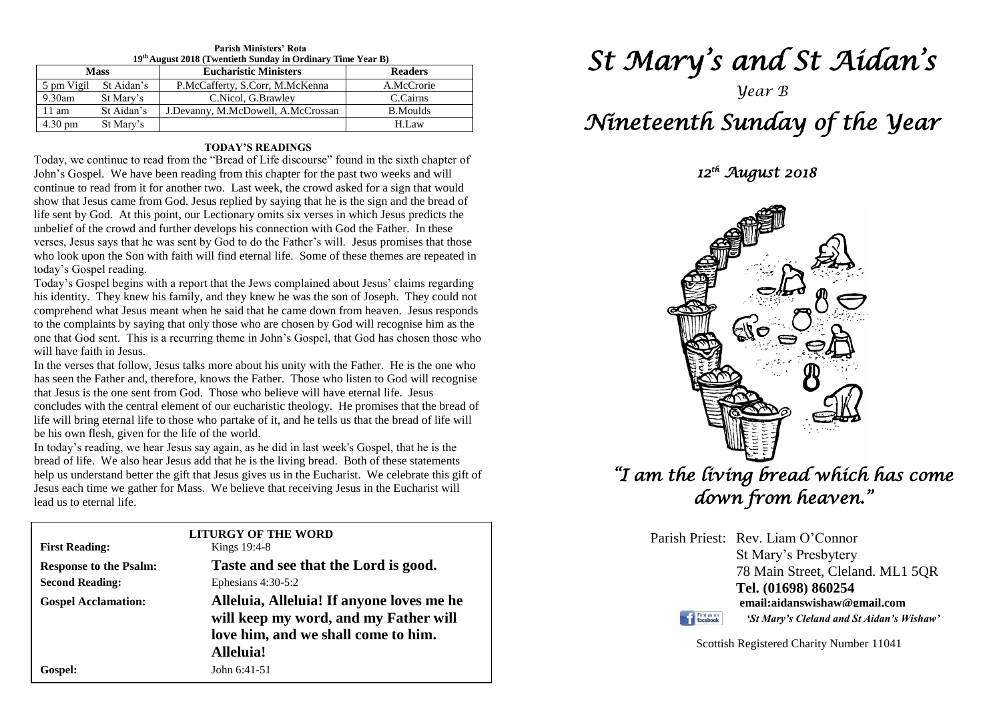| <b>Parish Ministers' Rota</b> |                                                             |  |  |  |  |
|-------------------------------|-------------------------------------------------------------|--|--|--|--|
|                               | 19th August 2018 (Twentieth Sunday in Ordinary Time Year B) |  |  |  |  |

| <b>Mass</b>       |            | <b>Eucharistic Ministers</b>       | <b>Readers</b>  |  |
|-------------------|------------|------------------------------------|-----------------|--|
| 5 pm Vigil        | St Aidan's | P.McCafferty, S.Corr, M.McKenna    | A.McCrorie      |  |
| $9.30$ am         | St Mary's  | C.Nicol, G.Brawley                 | C.Cairns        |  |
| 11 am             | St Aidan's | J.Devanny, M.McDowell, A.McCrossan | <b>B.Moulds</b> |  |
| $4.30 \text{ pm}$ | St Mary's  |                                    | H.Law           |  |

### **TODAY'S READINGS**

Today, we continue to read from the "Bread of Life discourse" found in the sixth chapter of John's Gospel. We have been reading from this chapter for the past two weeks and will continue to read from it for another two. Last week, the crowd asked for a sign that would show that Jesus came from God. Jesus replied by saying that he is the sign and the bread of life sent by God. At this point, our Lectionary omits six verses in which Jesus predicts the unbelief of the crowd and further develops his connection with God the Father. In these verses, Jesus says that he was sent by God to do the Father's will. Jesus promises that those who look upon the Son with faith will find eternal life. Some of these themes are repeated in today's Gospel reading.

Today's Gospel begins with a report that the Jews complained about Jesus' claims regarding his identity. They knew his family, and they knew he was the son of Joseph. They could not comprehend what Jesus meant when he said that he came down from heaven. Jesus responds to the complaints by saying that only those who are chosen by God will recognise him as the one that God sent. This is a recurring theme in John's Gospel, that God has chosen those who will have faith in Jesus.

In the verses that follow, Jesus talks more about his unity with the Father. He is the one who<br>has seen the Father and, therefore, knows the Father. Those who listen to God will recognise<br>that Jesus is the gas gast from Go concludes with the central element of our eucharistic theology. He promises that the bread of life will bring eternal life to those who partake of it, and he tells us that the bread of life will In the verses that follow, Jesus talks more about his unity with the Father. He is the one who that Jesus is the one sent from God. Those who believe will have eternal life. Jesus concludes with the central element of our eucharistic theology. He promises that the bread of be his own flesh, given for the life of the world.

In today's reading, we hear Jesus say again, as he did in last week's Gospel, that he is the bread of life. We also hear Jesus add that he is the living bread. Both of these statements Jesus each time we gather for Mass. We believe that receiving Jesus in the Eucharist will lead us to eternal life. In today's reading, we hear Jesus say again, as he did in last week's Gospel, that he is the help us understand better the gift that Jesus gives us in the Eucharist. We celebrate this gift of lead us to eternal life.

| <b>First Reading:</b>         | <b>LITURGY OF THE WORD</b><br>Kings 19:4-8                                                                                             |  |
|-------------------------------|----------------------------------------------------------------------------------------------------------------------------------------|--|
| <b>Response to the Psalm:</b> | Taste and see that the Lord is good.                                                                                                   |  |
| <b>Second Reading:</b>        | Ephesians $4:30-5:2$                                                                                                                   |  |
| <b>Gospel Acclamation:</b>    | Alleluia, Alleluia! If anyone loves me he<br>will keep my word, and my Father will<br>love him, and we shall come to him.<br>Alleluia! |  |
| Gospel:                       | John 6:41-51                                                                                                                           |  |

# *St Mary's and St Aidan's*

## *Year B Nineteenth Sunday of the Year*

 *12th August 2018* 



*"I am the living bread which has come down from heaven."* 

> Parish Priest: Rev. Liam O'Connor St Mary's Presbytery 78 Main Street, Cleland. ML1 5QR **Tel. (01698) 860254 email:aidanswishaw@gmail.com**



*'St Mary's Cleland and St Aidan's Wishaw'*

Scottish Registered Charity Number 11041